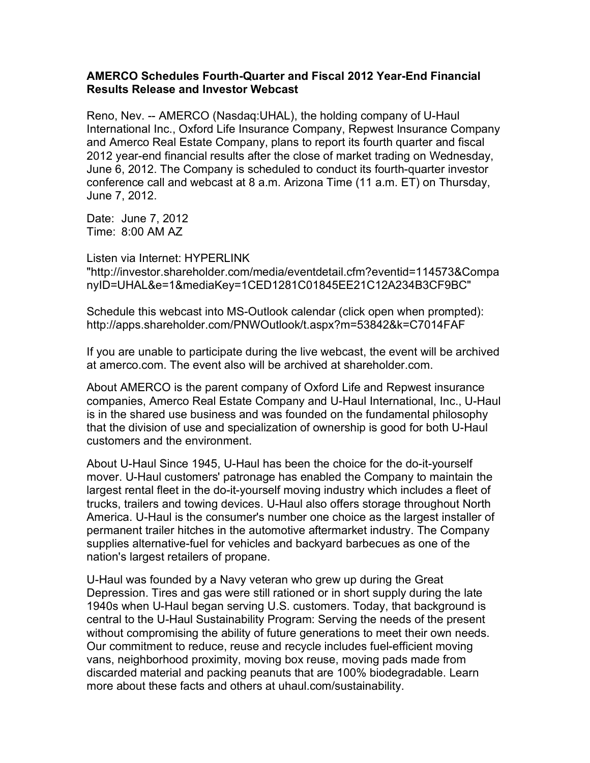## **AMERCO Schedules Fourth-Quarter and Fiscal 2012 Year-End Financial Results Release and Investor Webcast**

Reno, Nev. -- AMERCO (Nasdaq:UHAL), the holding company of U-Haul International Inc., Oxford Life Insurance Company, Repwest Insurance Company and Amerco Real Estate Company, plans to report its fourth quarter and fiscal 2012 year-end financial results after the close of market trading on Wednesday, June 6, 2012. The Company is scheduled to conduct its fourth-quarter investor conference call and webcast at 8 a.m. Arizona Time (11 a.m. ET) on Thursday, June 7, 2012.

Date: June 7, 2012 Time: 8:00 AM AZ

Listen via Internet: HYPERLINK "http://investor.shareholder.com/media/eventdetail.cfm?eventid=114573&Compa nyID=UHAL&e=1&mediaKey=1CED1281C01845EE21C12A234B3CF9BC"

Schedule this webcast into MS-Outlook calendar (click open when prompted): http://apps.shareholder.com/PNWOutlook/t.aspx?m=53842&k=C7014FAF

If you are unable to participate during the live webcast, the event will be archived at amerco.com. The event also will be archived at shareholder.com.

About AMERCO is the parent company of Oxford Life and Repwest insurance companies, Amerco Real Estate Company and U-Haul International, Inc., U-Haul is in the shared use business and was founded on the fundamental philosophy that the division of use and specialization of ownership is good for both U-Haul customers and the environment.

About U-Haul Since 1945, U-Haul has been the choice for the do-it-yourself mover. U-Haul customers' patronage has enabled the Company to maintain the largest rental fleet in the do-it-yourself moving industry which includes a fleet of trucks, trailers and towing devices. U-Haul also offers storage throughout North America. U-Haul is the consumer's number one choice as the largest installer of permanent trailer hitches in the automotive aftermarket industry. The Company supplies alternative-fuel for vehicles and backyard barbecues as one of the nation's largest retailers of propane.

U-Haul was founded by a Navy veteran who grew up during the Great Depression. Tires and gas were still rationed or in short supply during the late 1940s when U-Haul began serving U.S. customers. Today, that background is central to the U-Haul Sustainability Program: Serving the needs of the present without compromising the ability of future generations to meet their own needs. Our commitment to reduce, reuse and recycle includes fuel-efficient moving vans, neighborhood proximity, moving box reuse, moving pads made from discarded material and packing peanuts that are 100% biodegradable. Learn more about these facts and others at uhaul.com/sustainability.